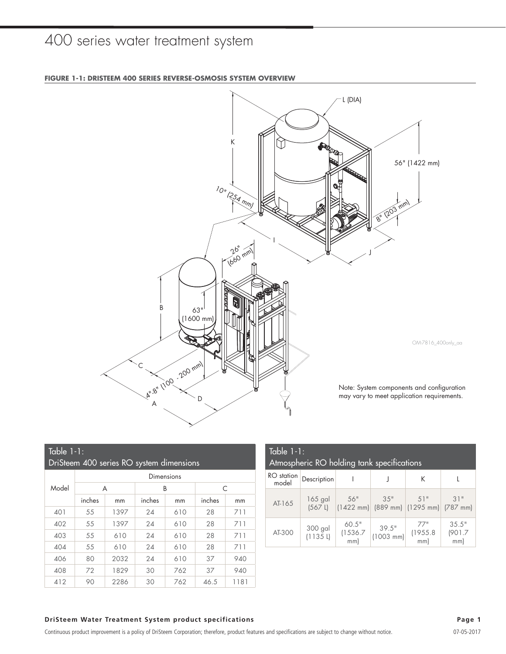### 400 series water treatment system



| Table $1-1$ :<br>DriSteem 400 series RO system dimensions |        |      |        |     |        |      |  |  |  |  |
|-----------------------------------------------------------|--------|------|--------|-----|--------|------|--|--|--|--|
| Dimensions                                                |        |      |        |     |        |      |  |  |  |  |
| Model                                                     |        | A    | B      |     | C      |      |  |  |  |  |
|                                                           | inches | mm   | inches | mm  | inches | mm   |  |  |  |  |
| 401                                                       | 55     | 1397 | 24     | 610 | 28     | 711  |  |  |  |  |
| 402                                                       | 55     | 1397 | 24     | 610 | 28     | 711  |  |  |  |  |
| 403                                                       | 55     | 610  | 24     | 610 | 28     | 711  |  |  |  |  |
| 404                                                       | 55     | 610  | 24     | 610 | 28     | 711  |  |  |  |  |
| 406                                                       | 80     | 2032 | 24     | 610 | 37     | 940  |  |  |  |  |
| 408                                                       | 72     | 1829 | 30     | 762 | 37     | 940  |  |  |  |  |
| 412                                                       | 90     | 2286 | 30     | 762 | 46.5   | 1181 |  |  |  |  |

| Table $1-1$ :<br>Atmospheric RO holding tank specifications |                         |                         |                                                            |                        |                        |  |  |  |  |
|-------------------------------------------------------------|-------------------------|-------------------------|------------------------------------------------------------|------------------------|------------------------|--|--|--|--|
| <b>RO</b> station<br>model                                  | Description             |                         |                                                            | K                      |                        |  |  |  |  |
| AT-165                                                      | 165 gal<br>$(567 \; L)$ | 56"                     | $3.5$ "<br>$(1422 \text{ mm})$ (889 mm) (1295 mm) (787 mm) | 51"                    | 31"                    |  |  |  |  |
| AT-300                                                      | 300 gal<br>(1135L)      | 60.5"<br>(1536.7<br>mm) | 39.5"<br>$(1003 \, \text{mm})$                             | 77"<br>(1955.8)<br>mm) | 35.5"<br>(901.7<br>mm) |  |  |  |  |

**FIGURE 1-1: DRISTEEM 400 SERIES REVERSE-OSMOSIS SYSTEM OVERVIEW**

### **DriSteem Water Treatment System product specifications Page 1**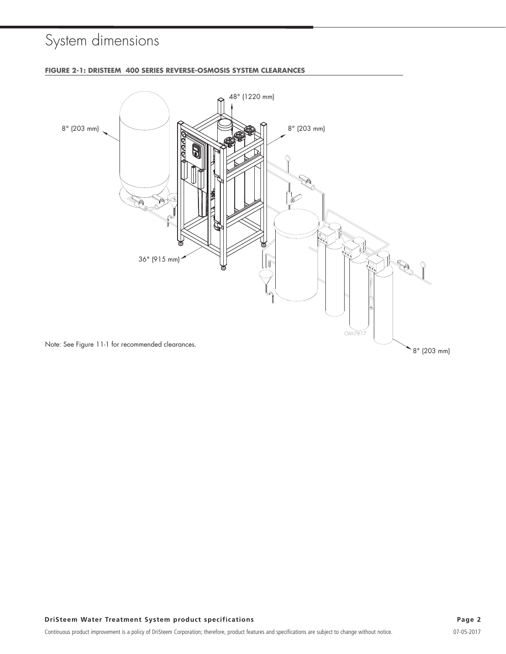# System dimensions



### **FIGURE 2-1: DRISTEEM 400 SERIES REVERSE-OSMOSIS SYSTEM CLEARANCES**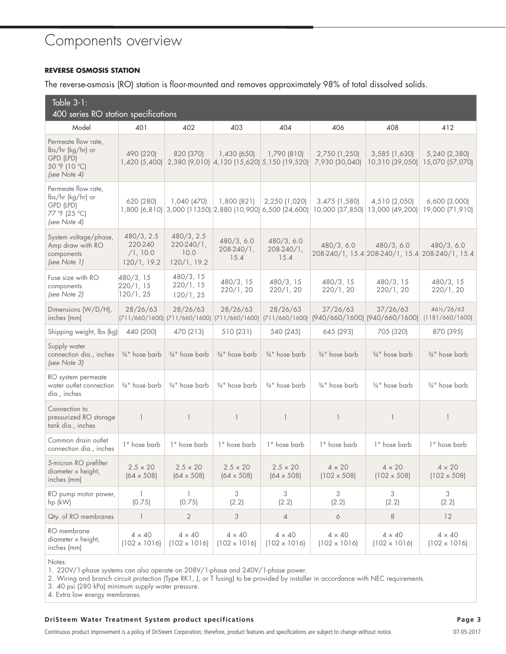### Components overview

#### **REVERSE OSMOSIS STATION**

The reverse-osmosis (RO) station is floor-mounted and removes approximately 98% of total dissolved solids.

| Table $3-1$ :<br>400 series RO station specifications                                  |                                                  |                                                          |                                       |                                                               |                                                          |                                      |                                                               |  |  |  |  |
|----------------------------------------------------------------------------------------|--------------------------------------------------|----------------------------------------------------------|---------------------------------------|---------------------------------------------------------------|----------------------------------------------------------|--------------------------------------|---------------------------------------------------------------|--|--|--|--|
| Model                                                                                  | 401                                              | 402                                                      | 403                                   | 404                                                           | 406                                                      | 408                                  | 412                                                           |  |  |  |  |
| Permeate flow rate,<br>lbs/hr (kg/hr) or<br>GPD (LPD)<br>50 °F (10 °C)<br>(see Note 4) | 490 (220)<br>1,420 (5,400)                       | 820 (370)                                                | 1,430 (650)                           | 1,790 (810)<br>2,380 (9,010) 4,120 (15,620) 5,150 (19,520)    | 2,750 (1,250)<br>7,930 (30,040)                          | 3,585 (1,630)<br>10,310 (39,050)     | 5,240 (2,380)<br>15,070 (57,070)                              |  |  |  |  |
| Permeate flow rate,<br>lbs/hr (kg/hr) or<br>GPD (LPD)<br>77 °F (25 °C)<br>(see Note 4) | 620 (280)<br>1,800 (6,810)                       | 1,040 (470)                                              | 1,800 (821)                           | 2,250 (1,020)<br>$(3,000(11350)[2,880(10,900)[6,500(24,600)]$ | 3,475 (1,580)<br>10,000 (37,850)                         | 4,510 (2,050)<br>13,000 (49,200)     | $6,600$ $(3,000)$<br>19,000 (71,910)                          |  |  |  |  |
| System voltage/phase,<br>Amp draw with RO<br>components<br>(see Note 1)                | 480/3, 2.5<br>220-240<br>/1, 10.0<br>120/1, 19.2 | 480/3, 2.5<br>$220-240/1,$<br>10.0<br>120/1, 19.2        | 480/3, 6.0<br>$208 - 240/1$ ,<br>15.4 | 480/3, 6.0<br>208-240/1,<br>15.4                              | 480/3, 6.0                                               | 480/3, 6.0                           | 480/3, 6.0<br>208-240/1, 15.4 208-240/1, 15.4 208-240/1, 15.4 |  |  |  |  |
| Fuse size with RO<br>components<br>(see Note 2)                                        | 480/3, 15<br>220/1, 15<br>120/1, 25              | 480/3, 15<br>220/1, 15<br>120/1, 25                      | 480/3, 15<br>220/1, 20                | 480/3, 15<br>220/1, 20                                        | 480/3, 15<br>220/1, 20                                   | 480/3, 15<br>220/1, 20               | 480/3, 15<br>220/1, 20                                        |  |  |  |  |
| Dimensions (W/D/H),<br>inches (mm)                                                     | 28/26/63                                         | 28/26/63<br>(711/660/1600) (711/660/1600) (711/660/1600) | 28/26/63                              | 28/26/63                                                      | 37/26/63<br>(711/660/1600) (940/660/1600) (940/660/1600) | 37/26/63                             | 461/2/26/63<br>(1181/660/1600)                                |  |  |  |  |
| Shipping weight, lbs (kg)                                                              | 440 (200)                                        | 470 (213)                                                | 510 (231)                             | 540 (245)                                                     | 645 (293)                                                | 705 (320)                            | 870 (395)                                                     |  |  |  |  |
| Supply water<br>connection dia., inches<br>(see Note 3)                                | $\frac{3}{4}$ " hose barb                        | $3/4$ " hose barb                                        | $\frac{3}{4}$ " hose barb             | $\frac{3}{4}$ " hose barb                                     | $\frac{3}{4}$ " hose barb                                | 3/4" hose barb                       | 3/4" hose barb                                                |  |  |  |  |
| RO system permeate<br>water outlet connection<br>dia., inches                          | $3/4$ " hose barb                                | $3/4$ " hose barb                                        | 3/4" hose barb                        | 3/4" hose barb                                                | $3/4$ " hose barb                                        | 3/4" hose barb                       | 3/4" hose barb                                                |  |  |  |  |
| Connection to<br>pressurized RO storage<br>tank dia., inches                           | $\mathbf{1}$                                     | $\overline{\phantom{a}}$                                 | $\mathbf{1}$                          | $\overline{\phantom{a}}$                                      | $\mathbf{1}$                                             | $\mathbf{1}$                         | $\mathbf{1}$                                                  |  |  |  |  |
| Common drain outlet<br>connection dia., inches                                         | 1" hose barb                                     | 1" hose barb                                             | 1" hose barb                          | 1" hose barb                                                  | 1" hose barb                                             | 1" hose barb                         | 1" hose barb                                                  |  |  |  |  |
| 5-micron RO prefilter<br>diameter x height,<br>inches (mm)                             | $2.5 \times 20$<br>$(64 \times 508)$             | $2.5 \times 20$<br>$(64 \times 508)$                     | $2.5 \times 20$<br>$(64 \times 508)$  | $2.5 \times 20$<br>$(64 \times 508)$                          | $4 \times 20$<br>$(102 \times 508)$                      | $4 \times 20$<br>$(102 \times 508)$  | $4 \times 20$<br>$(102 \times 508)$                           |  |  |  |  |
| RO pump motor power,<br>$hp$ (kW)                                                      | 1<br>(0.75)                                      | 1<br>(0.75)                                              | 3<br>(2.2)                            | 3<br>(2.2)                                                    | 3<br>(2.2)                                               | 3<br>(2.2)                           | 3<br>(2.2)                                                    |  |  |  |  |
| Qty. of RO membranes                                                                   | 1                                                | $\overline{2}$                                           | 3                                     | $\overline{4}$                                                | 6                                                        | 8                                    | 12                                                            |  |  |  |  |
| RO membrane<br>diameter x height,<br>inches (mm)                                       | $4 \times 40$<br>$(102 \times 1016)$             | $4 \times 40$<br>$(102 \times 1016)$                     | $4 \times 40$<br>$(102 \times 1016)$  | $4 \times 40$<br>$(102 \times 1016)$                          | $4 \times 40$<br>$(102 \times 1016)$                     | $4 \times 40$<br>$(102 \times 1016)$ | $4 \times 40$<br>$(102 \times 1016)$                          |  |  |  |  |

Notes:

1. 220V/1-phase systems can also operate on 208V/1-phase and 240V/1-phase power.

2. Wiring and branch circuit protection (Type RK1, J, or T fusing) to be provided by installer in accordance with NEC requirements.

3. 40 psi (280 kPa) minimum supply water pressure.

4. Extra low energy membranes.

#### **DriSteem Water Treatment System product specifications Page 3**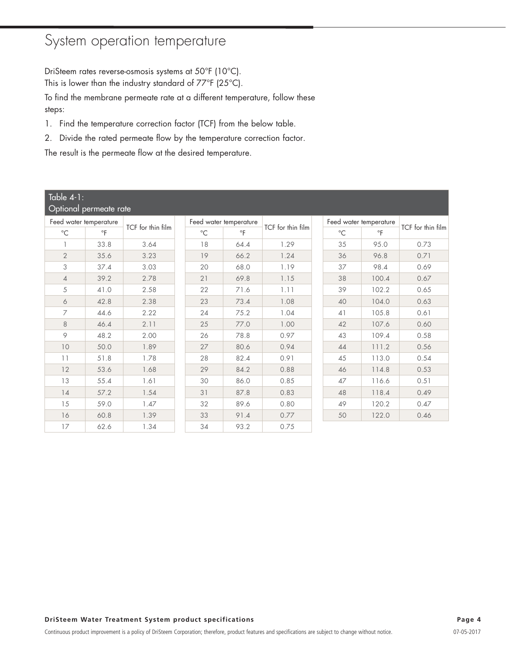### System operation temperature

DriSteem rates reverse-osmosis systems at 50°F (10°C). This is lower than the industry standard of 77°F (25°C).

To find the membrane permeate rate at a different temperature, follow these steps:

- 1. Find the temperature correction factor (TCF) from the below table.
- 2. Divide the rated permeate flow by the temperature correction factor.

The result is the permeate flow at the desired temperature.

| <u>Table 4-1:</u>      |                        |                   |  |             |                        |                   |  |              |                        |                   |  |
|------------------------|------------------------|-------------------|--|-------------|------------------------|-------------------|--|--------------|------------------------|-------------------|--|
|                        | Optional permeate rate |                   |  |             |                        |                   |  |              |                        |                   |  |
| Feed water temperature |                        | TCF for thin film |  |             | Feed water temperature |                   |  |              | Feed water temperature | TCF for thin film |  |
| $^{\circ}C$            | $\circ$ F              |                   |  | $^{\circ}C$ | $\circ$ F              | TCF for thin film |  | $^{\circ}$ C | $\circ$ F              |                   |  |
|                        | 33.8                   | 3.64              |  | 18          | 64.4                   | 1.29              |  | 35           | 95.0                   | 0.73              |  |
| $\overline{2}$         | 35.6                   | 3.23              |  | 19          | 66.2                   | 1.24              |  | 36           | 96.8                   | 0.71              |  |
| 3                      | 37.4                   | 3.03              |  | 20          | 68.0                   | 1.19              |  | 37           | 98.4                   | 0.69              |  |
| $\overline{4}$         | 39.2                   | 2.78              |  | 21          | 69.8                   | 1.15              |  | 38           | 100.4                  | 0.67              |  |
| 5                      | 41.0                   | 2.58              |  | 22          | 71.6                   | 1.11              |  | 39           | 102.2                  | 0.65              |  |
| 6                      | 42.8                   | 2.38              |  | 23          | 73.4                   | 1.08              |  | 40           | 104.0                  | 0.63              |  |
| 7                      | 44.6                   | 2.22              |  | 24          | 75.2                   | 1.04              |  | 41           | 105.8                  | 0.61              |  |
| 8                      | 46.4                   | 2.11              |  | 25          | 77.0                   | 1.00              |  | 42           | 107.6                  | 0.60              |  |
| 9                      | 48.2                   | 2.00              |  | 26          | 78.8                   | 0.97              |  | 43           | 109.4                  | 0.58              |  |
| 10                     | 50.0                   | 1.89              |  | 27          | 80.6                   | 0.94              |  | 44           | 111.2                  | 0.56              |  |
| 11                     | 51.8                   | 1.78              |  | 28          | 82.4                   | 0.91              |  | 45           | 113.0                  | 0.54              |  |
| 12                     | 53.6                   | 1.68              |  | 29          | 84.2                   | 0.88              |  | 46           | 114.8                  | 0.53              |  |
| 13                     | 55.4                   | 1.61              |  | 30          | 86.0                   | 0.85              |  | 47           | 116.6                  | 0.51              |  |
| 14                     | 57.2                   | 1.54              |  | 31          | 87.8                   | 0.83              |  | 48           | 118.4                  | 0.49              |  |
| 15                     | 59.0                   | 1.47              |  | 32          | 89.6                   | 0.80              |  | 49           | 120.2                  | 0.47              |  |
| 16                     | 60.8                   | 1.39              |  | 33          | 91.4                   | 0.77              |  | 50           | 122.0                  | 0.46              |  |
| 17                     | 62.6                   | 1.34              |  | 34          | 93.2                   | 0.75              |  |              |                        |                   |  |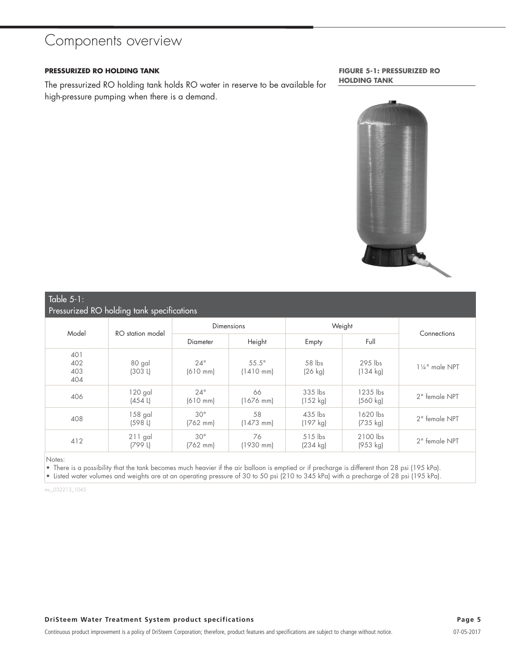### Components overview

#### **PRESSURIZED RO HOLDING TANK**

The pressurized RO holding tank holds RO water in reserve to be available for high-pressure pumping when there is a demand.

**FIGURE 5-1: PRESSURIZED RO HOLDING TANK**



## Table  $5-1$ :

| Pressurized RO holding tank specifications |                         |                             |                              |                                 |                                 |                |  |  |  |
|--------------------------------------------|-------------------------|-----------------------------|------------------------------|---------------------------------|---------------------------------|----------------|--|--|--|
| Model                                      | RO station model        | <b>Dimensions</b>           |                              | Weight                          |                                 |                |  |  |  |
|                                            |                         | <b>Diameter</b>             | Height                       | Empty                           | Full                            | Connections    |  |  |  |
| 401<br>402<br>403<br>404                   | 80 gal<br>(303 L)       | 24"<br>$(610 \, \text{mm})$ | 55.5"<br>$(1410 \text{ mm})$ | 58 lbs<br>$(26$ kg)             | $295$ lbs<br>$(134 \text{ kg})$ | 11/4" male NPT |  |  |  |
| 406                                        | 120 gal<br>$(454 \, L)$ | 24"<br>$(610 \, \text{mm})$ | 66<br>$(1676$ mm)            | 335 lbs<br>(152 kg)             | 1235 lbs<br>(560 kg)            | 2" female NPT  |  |  |  |
| 408                                        | 158 gal<br>(598 L)      | 30"<br>$(762 \, \text{mm})$ | 58<br>$(1473$ mm)            | 435 lbs<br>(197 kg)             | 1620 lbs<br>$(735 \text{ kg})$  | 2" female NPT  |  |  |  |
| 412                                        | $211$ gal<br>(799 L)    | 30"<br>$(762 \, mm)$        | 76<br>$(1930$ mm)            | $515$ lbs<br>$(234 \text{ kg})$ | 2100 lbs<br>(953 kg)            | 2" female NPT  |  |  |  |

Notes:

• There is a possibility that the tank becomes much heavier if the air balloon is emptied or if precharge is different than 28 psi (195 kPa).

• Listed water volumes and weights are at an operating pressure of 30 to 50 psi (210 to 345 kPa) with a precharge of 28 psi (195 kPa).

mc\_032213\_1045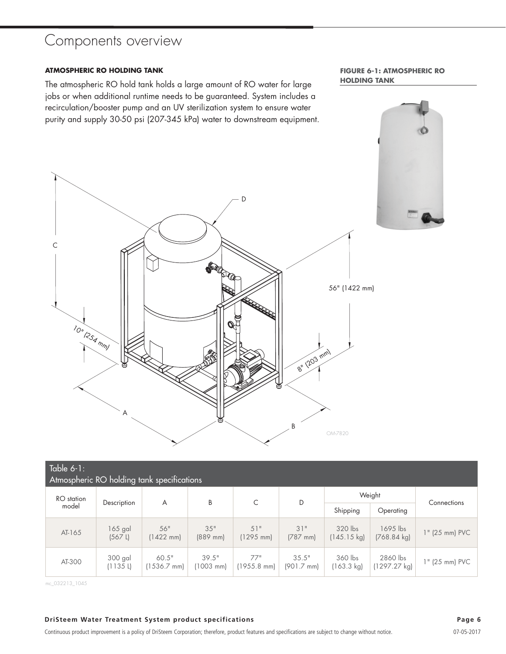### Components overview

#### **ATMOSPHERIC RO HOLDING TANK**

The atmospheric RO hold tank holds a large amount of RO water for large jobs or when additional runtime needs to be guaranteed. System includes a recirculation/booster pump and an UV sterilization system to ensure water purity and supply 30-50 psi (207-345 kPa) water to downstream equipment. **FIGURE 6-1: ATMOSPHERIC RO HOLDING TANK**



| Table $6-1$ :<br>Atmospheric RO holding tank specifications |                         |                            |                      |                            |                               |                                  |                                     |                |  |  |
|-------------------------------------------------------------|-------------------------|----------------------------|----------------------|----------------------------|-------------------------------|----------------------------------|-------------------------------------|----------------|--|--|
| RO station                                                  | Description             | A                          | B                    | C                          | D                             | Weight                           | Connections                         |                |  |  |
| model                                                       |                         |                            |                      |                            |                               | Shipping                         | Operating                           |                |  |  |
| AT-165                                                      | 165 gal<br>$(567 \; L)$ | 56"<br>$(1422 \text{ mm})$ | 35"<br>$(889$ mm)    | 51"<br>$(1295 \text{ mm})$ | 31"<br>$(787$ mm)             | 320 lbs<br>$(145.15 \text{ kg})$ | $1695$ lbs<br>$(768.84 \text{ kg})$ | 1" (25 mm) PVC |  |  |
| AT-300                                                      | 300 gal<br>(1135L)      | 60.5"<br>$(1536.7$ mm)     | 39.5"<br>$(1003$ mm) | 77"<br>$(1955.8$ mm)       | 35.5"<br>$(901.7 \text{ mm})$ | 360 lbs<br>$(163.3 \text{ kg})$  | 2860 lbs<br>(1297.27 kg)            | 1" (25 mm) PVC |  |  |

mc\_032213\_1045

#### **DriSteem Water Treatment System product specifications Page 6**